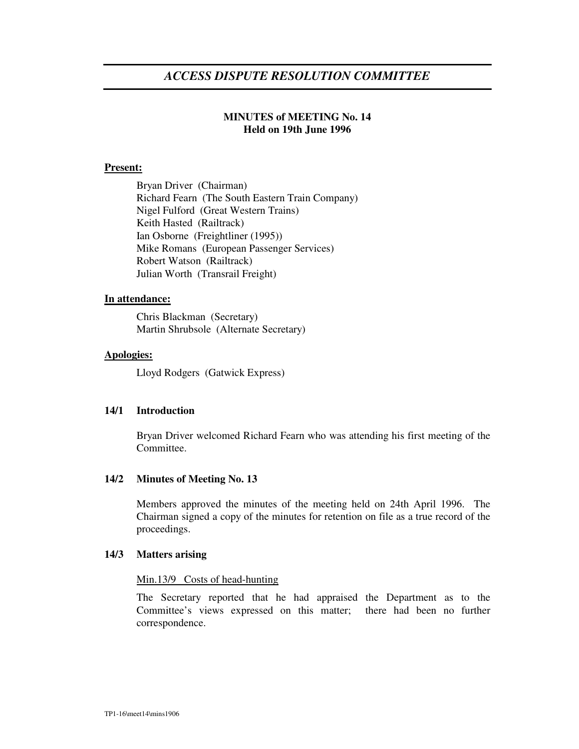# *ACCESS DISPUTE RESOLUTION COMMITTEE*

# **MINUTES of MEETING No. 14 Held on 19th June 1996**

# **Present:**

Bryan Driver (Chairman) Richard Fearn (The South Eastern Train Company) Nigel Fulford (Great Western Trains) Keith Hasted (Railtrack) Ian Osborne (Freightliner (1995)) Mike Romans (European Passenger Services) Robert Watson (Railtrack) Julian Worth (Transrail Freight)

## **In attendance:**

Chris Blackman (Secretary) Martin Shrubsole (Alternate Secretary)

## **Apologies:**

Lloyd Rodgers (Gatwick Express)

# **14/1 Introduction**

Bryan Driver welcomed Richard Fearn who was attending his first meeting of the Committee.

# **14/2 Minutes of Meeting No. 13**

Members approved the minutes of the meeting held on 24th April 1996. The Chairman signed a copy of the minutes for retention on file as a true record of the proceedings.

#### **14/3 Matters arising**

#### Min.13/9 Costs of head-hunting

The Secretary reported that he had appraised the Department as to the Committee's views expressed on this matter; there had been no further correspondence.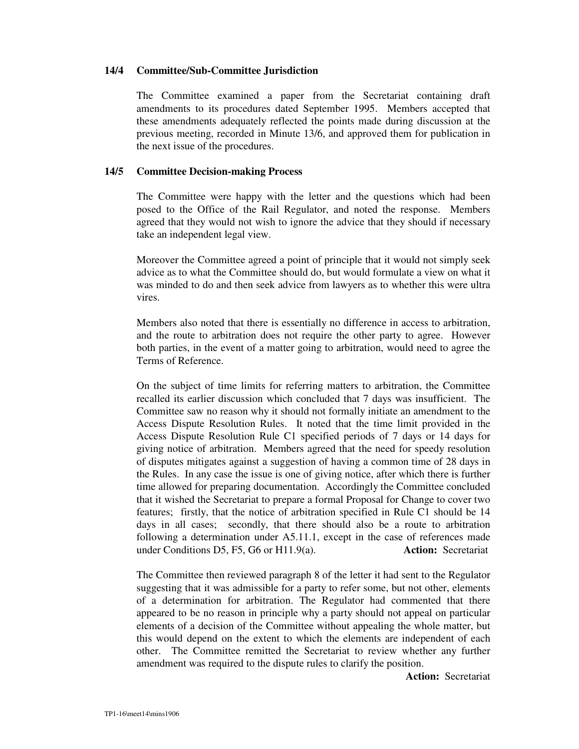### **14/4 Committee/Sub-Committee Jurisdiction**

The Committee examined a paper from the Secretariat containing draft amendments to its procedures dated September 1995. Members accepted that these amendments adequately reflected the points made during discussion at the previous meeting, recorded in Minute 13/6, and approved them for publication in the next issue of the procedures.

## **14/5 Committee Decision-making Process**

The Committee were happy with the letter and the questions which had been posed to the Office of the Rail Regulator, and noted the response. Members agreed that they would not wish to ignore the advice that they should if necessary take an independent legal view.

Moreover the Committee agreed a point of principle that it would not simply seek advice as to what the Committee should do, but would formulate a view on what it was minded to do and then seek advice from lawyers as to whether this were ultra vires.

Members also noted that there is essentially no difference in access to arbitration, and the route to arbitration does not require the other party to agree. However both parties, in the event of a matter going to arbitration, would need to agree the Terms of Reference.

On the subject of time limits for referring matters to arbitration, the Committee recalled its earlier discussion which concluded that 7 days was insufficient. The Committee saw no reason why it should not formally initiate an amendment to the Access Dispute Resolution Rules. It noted that the time limit provided in the Access Dispute Resolution Rule C1 specified periods of 7 days or 14 days for giving notice of arbitration. Members agreed that the need for speedy resolution of disputes mitigates against a suggestion of having a common time of 28 days in the Rules. In any case the issue is one of giving notice, after which there is further time allowed for preparing documentation. Accordingly the Committee concluded that it wished the Secretariat to prepare a formal Proposal for Change to cover two features; firstly, that the notice of arbitration specified in Rule C1 should be 14 days in all cases; secondly, that there should also be a route to arbitration following a determination under A5.11.1, except in the case of references made under Conditions D5, F5, G6 or H11.9(a). **Action:** Secretariat

The Committee then reviewed paragraph 8 of the letter it had sent to the Regulator suggesting that it was admissible for a party to refer some, but not other, elements of a determination for arbitration. The Regulator had commented that there appeared to be no reason in principle why a party should not appeal on particular elements of a decision of the Committee without appealing the whole matter, but this would depend on the extent to which the elements are independent of each other. The Committee remitted the Secretariat to review whether any further amendment was required to the dispute rules to clarify the position.

**Action:** Secretariat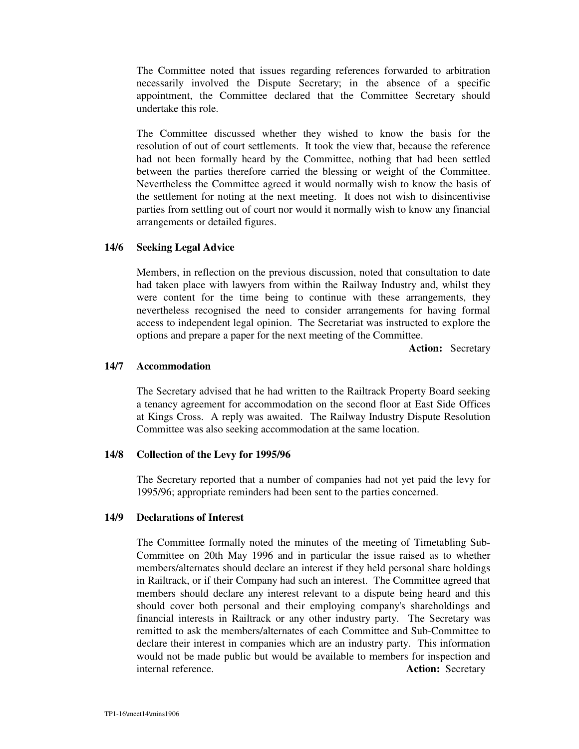The Committee noted that issues regarding references forwarded to arbitration necessarily involved the Dispute Secretary; in the absence of a specific appointment, the Committee declared that the Committee Secretary should undertake this role.

The Committee discussed whether they wished to know the basis for the resolution of out of court settlements. It took the view that, because the reference had not been formally heard by the Committee, nothing that had been settled between the parties therefore carried the blessing or weight of the Committee. Nevertheless the Committee agreed it would normally wish to know the basis of the settlement for noting at the next meeting. It does not wish to disincentivise parties from settling out of court nor would it normally wish to know any financial arrangements or detailed figures.

## **14/6 Seeking Legal Advice**

Members, in reflection on the previous discussion, noted that consultation to date had taken place with lawyers from within the Railway Industry and, whilst they were content for the time being to continue with these arrangements, they nevertheless recognised the need to consider arrangements for having formal access to independent legal opinion. The Secretariat was instructed to explore the options and prepare a paper for the next meeting of the Committee.

**Action:** Secretary

## **14/7 Accommodation**

The Secretary advised that he had written to the Railtrack Property Board seeking a tenancy agreement for accommodation on the second floor at East Side Offices at Kings Cross. A reply was awaited. The Railway Industry Dispute Resolution Committee was also seeking accommodation at the same location.

#### **14/8 Collection of the Levy for 1995/96**

The Secretary reported that a number of companies had not yet paid the levy for 1995/96; appropriate reminders had been sent to the parties concerned.

### **14/9 Declarations of Interest**

The Committee formally noted the minutes of the meeting of Timetabling Sub-Committee on 20th May 1996 and in particular the issue raised as to whether members/alternates should declare an interest if they held personal share holdings in Railtrack, or if their Company had such an interest. The Committee agreed that members should declare any interest relevant to a dispute being heard and this should cover both personal and their employing company's shareholdings and financial interests in Railtrack or any other industry party. The Secretary was remitted to ask the members/alternates of each Committee and Sub-Committee to declare their interest in companies which are an industry party. This information would not be made public but would be available to members for inspection and internal reference. **Action:** Secretary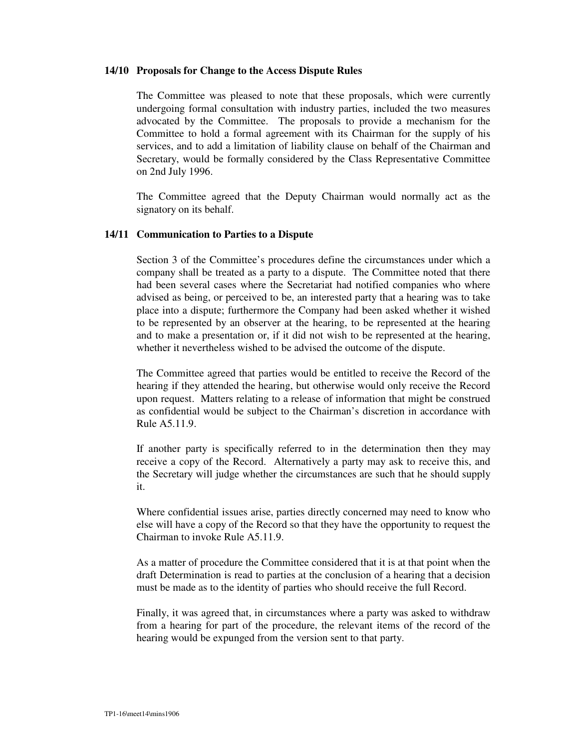#### **14/10 Proposals for Change to the Access Dispute Rules**

The Committee was pleased to note that these proposals, which were currently undergoing formal consultation with industry parties, included the two measures advocated by the Committee. The proposals to provide a mechanism for the Committee to hold a formal agreement with its Chairman for the supply of his services, and to add a limitation of liability clause on behalf of the Chairman and Secretary, would be formally considered by the Class Representative Committee on 2nd July 1996.

The Committee agreed that the Deputy Chairman would normally act as the signatory on its behalf.

## **14/11 Communication to Parties to a Dispute**

Section 3 of the Committee's procedures define the circumstances under which a company shall be treated as a party to a dispute. The Committee noted that there had been several cases where the Secretariat had notified companies who where advised as being, or perceived to be, an interested party that a hearing was to take place into a dispute; furthermore the Company had been asked whether it wished to be represented by an observer at the hearing, to be represented at the hearing and to make a presentation or, if it did not wish to be represented at the hearing, whether it nevertheless wished to be advised the outcome of the dispute.

The Committee agreed that parties would be entitled to receive the Record of the hearing if they attended the hearing, but otherwise would only receive the Record upon request. Matters relating to a release of information that might be construed as confidential would be subject to the Chairman's discretion in accordance with Rule A5.11.9.

If another party is specifically referred to in the determination then they may receive a copy of the Record. Alternatively a party may ask to receive this, and the Secretary will judge whether the circumstances are such that he should supply it.

Where confidential issues arise, parties directly concerned may need to know who else will have a copy of the Record so that they have the opportunity to request the Chairman to invoke Rule A5.11.9.

As a matter of procedure the Committee considered that it is at that point when the draft Determination is read to parties at the conclusion of a hearing that a decision must be made as to the identity of parties who should receive the full Record.

Finally, it was agreed that, in circumstances where a party was asked to withdraw from a hearing for part of the procedure, the relevant items of the record of the hearing would be expunged from the version sent to that party.